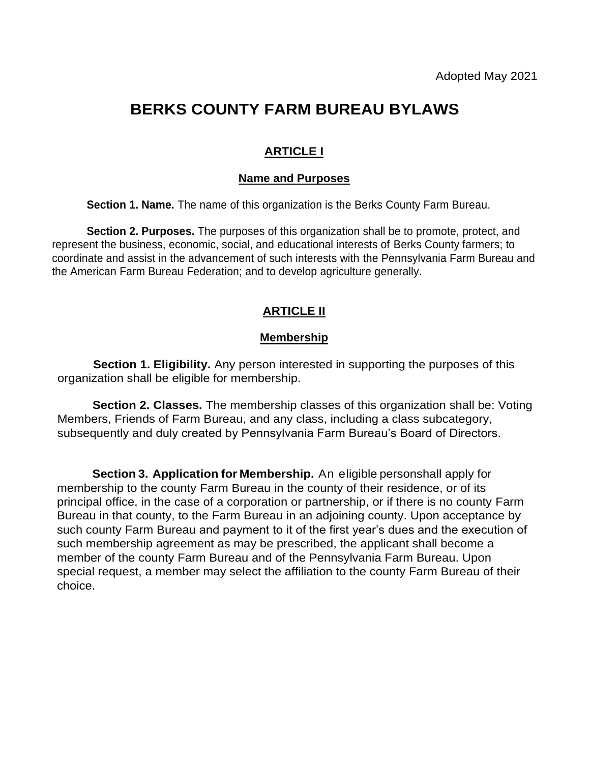# **BERKS COUNTY FARM BUREAU BYLAWS**

# **ARTICLE I**

## **Name and Purposes**

**Section 1. Name.** The name of this organization is the Berks County Farm Bureau.

**Section 2. Purposes.** The purposes of this organization shall be to promote, protect, and represent the business, economic, social, and educational interests of Berks County farmers; to coordinate and assist in the advancement of such interests with the Pennsylvania Farm Bureau and the American Farm Bureau Federation; and to develop agriculture generally.

## **ARTICLE II**

### **Membership**

**Section 1. Eligibility.** Any person interested in supporting the purposes of this organization shall be eligible for membership.

**Section 2. Classes.** The membership classes of this organization shall be: Voting Members, Friends of Farm Bureau, and any class, including a class subcategory, subsequently and duly created by Pennsylvania Farm Bureau's Board of Directors.

**Section 3. Application for Membership.** An eligible personshall apply for membership to the county Farm Bureau in the county of their residence, or of its principal office, in the case of a corporation or partnership, or if there is no county Farm Bureau in that county, to the Farm Bureau in an adjoining county. Upon acceptance by such county Farm Bureau and payment to it of the first year's dues and the execution of such membership agreement as may be prescribed, the applicant shall become a member of the county Farm Bureau and of the Pennsylvania Farm Bureau. Upon special request, a member may select the affiliation to the county Farm Bureau of their choice.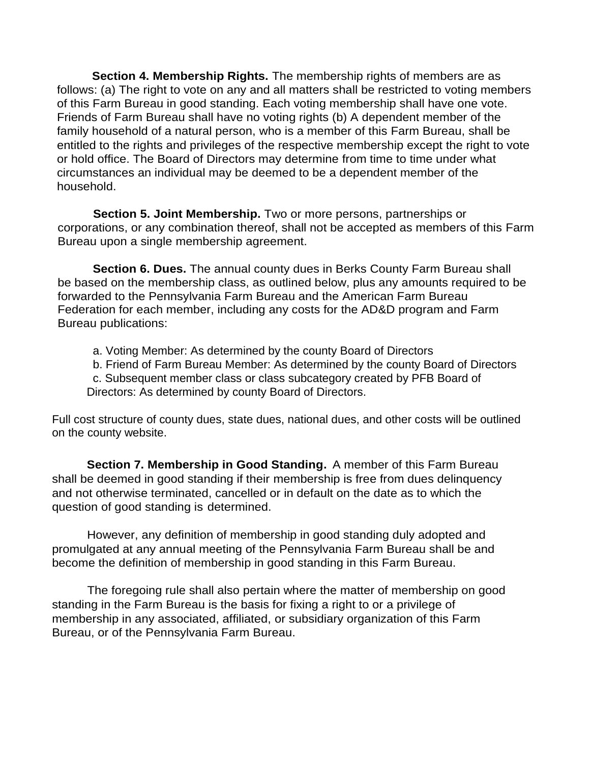**Section 4. Membership Rights.** The membership rights of members are as follows: (a) The right to vote on any and all matters shall be restricted to voting members of this Farm Bureau in good standing. Each voting membership shall have one vote. Friends of Farm Bureau shall have no voting rights (b) A dependent member of the family household of a natural person, who is a member of this Farm Bureau, shall be entitled to the rights and privileges of the respective membership except the right to vote or hold office. The Board of Directors may determine from time to time under what circumstances an individual may be deemed to be a dependent member of the household.

**Section 5. Joint Membership.** Two or more persons, partnerships or corporations, or any combination thereof, shall not be accepted as members of this Farm Bureau upon a single membership agreement.

**Section 6. Dues.** The annual county dues in Berks County Farm Bureau shall be based on the membership class, as outlined below, plus any amounts required to be forwarded to the Pennsylvania Farm Bureau and the American Farm Bureau Federation for each member, including any costs for the AD&D program and Farm Bureau publications:

a. Voting Member: As determined by the county Board of Directors

b. Friend of Farm Bureau Member: As determined by the county Board of Directors c. Subsequent member class or class subcategory created by PFB Board of Directors: As determined by county Board of Directors.

Full cost structure of county dues, state dues, national dues, and other costs will be outlined on the county website.

**Section 7. Membership in Good Standing.** A member of this Farm Bureau shall be deemed in good standing if their membership is free from dues delinquency and not otherwise terminated, cancelled or in default on the date as to which the question of good standing is determined.

However, any definition of membership in good standing duly adopted and promulgated at any annual meeting of the Pennsylvania Farm Bureau shall be and become the definition of membership in good standing in this Farm Bureau.

The foregoing rule shall also pertain where the matter of membership on good standing in the Farm Bureau is the basis for fixing a right to or a privilege of membership in any associated, affiliated, or subsidiary organization of this Farm Bureau, or of the Pennsylvania Farm Bureau.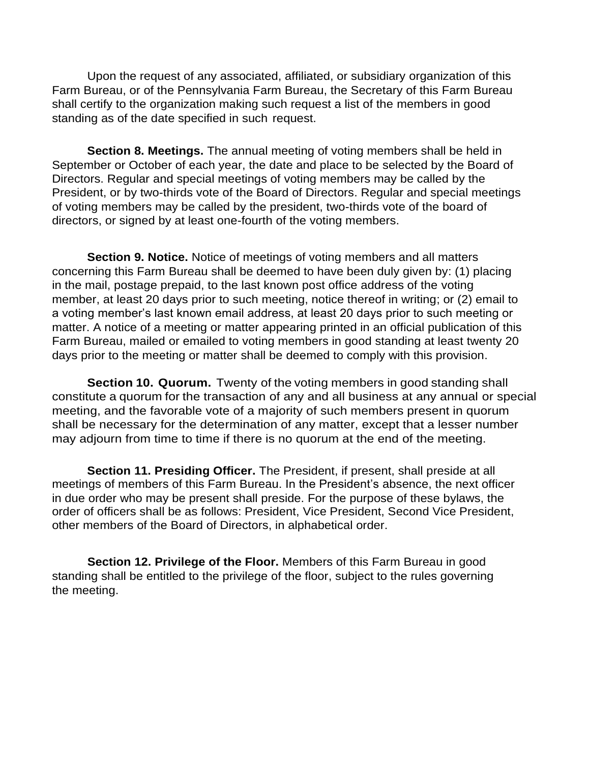Upon the request of any associated, affiliated, or subsidiary organization of this Farm Bureau, or of the Pennsylvania Farm Bureau, the Secretary of this Farm Bureau shall certify to the organization making such request a list of the members in good standing as of the date specified in such request.

**Section 8. Meetings.** The annual meeting of voting members shall be held in September or October of each year, the date and place to be selected by the Board of Directors. Regular and special meetings of voting members may be called by the President, or by two-thirds vote of the Board of Directors. Regular and special meetings of voting members may be called by the president, two-thirds vote of the board of directors, or signed by at least one-fourth of the voting members.

**Section 9. Notice.** Notice of meetings of voting members and all matters concerning this Farm Bureau shall be deemed to have been duly given by: (1) placing in the mail, postage prepaid, to the last known post office address of the voting member, at least 20 days prior to such meeting, notice thereof in writing; or (2) email to a voting member's last known email address, at least 20 days prior to such meeting or matter. A notice of a meeting or matter appearing printed in an official publication of this Farm Bureau, mailed or emailed to voting members in good standing at least twenty 20 days prior to the meeting or matter shall be deemed to comply with this provision.

**Section 10. Quorum.** Twenty of the voting members in good standing shall constitute a quorum for the transaction of any and all business at any annual or special meeting, and the favorable vote of a majority of such members present in quorum shall be necessary for the determination of any matter, except that a lesser number may adjourn from time to time if there is no quorum at the end of the meeting.

**Section 11. Presiding Officer.** The President, if present, shall preside at all meetings of members of this Farm Bureau. In the President's absence, the next officer in due order who may be present shall preside. For the purpose of these bylaws, the order of officers shall be as follows: President, Vice President, Second Vice President, other members of the Board of Directors, in alphabetical order.

**Section 12. Privilege of the Floor.** Members of this Farm Bureau in good standing shall be entitled to the privilege of the floor, subject to the rules governing the meeting.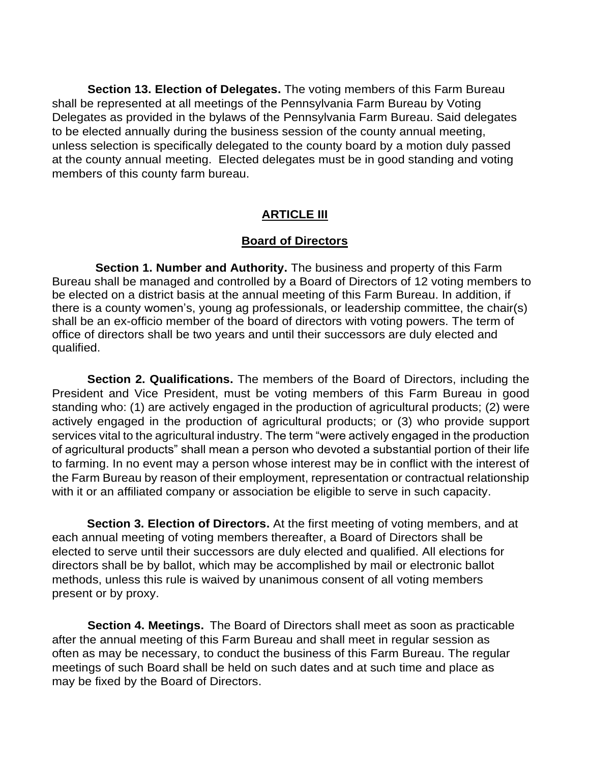**Section 13. Election of Delegates.** The voting members of this Farm Bureau shall be represented at all meetings of the Pennsylvania Farm Bureau by Voting Delegates as provided in the bylaws of the Pennsylvania Farm Bureau. Said delegates to be elected annually during the business session of the county annual meeting, unless selection is specifically delegated to the county board by a motion duly passed at the county annual meeting. Elected delegates must be in good standing and voting members of this county farm bureau.

## **ARTICLE III**

#### **Board of Directors**

**Section 1. Number and Authority.** The business and property of this Farm Bureau shall be managed and controlled by a Board of Directors of 12 voting members to be elected on a district basis at the annual meeting of this Farm Bureau. In addition, if there is a county women's, young ag professionals, or leadership committee, the chair(s) shall be an ex-officio member of the board of directors with voting powers. The term of office of directors shall be two years and until their successors are duly elected and qualified.

**Section 2. Qualifications.** The members of the Board of Directors, including the President and Vice President, must be voting members of this Farm Bureau in good standing who: (1) are actively engaged in the production of agricultural products; (2) were actively engaged in the production of agricultural products; or (3) who provide support services vital to the agricultural industry. The term "were actively engaged in the production of agricultural products" shall mean a person who devoted a substantial portion of their life to farming. In no event may a person whose interest may be in conflict with the interest of the Farm Bureau by reason of their employment, representation or contractual relationship with it or an affiliated company or association be eligible to serve in such capacity.

**Section 3. Election of Directors.** At the first meeting of voting members, and at each annual meeting of voting members thereafter, a Board of Directors shall be elected to serve until their successors are duly elected and qualified. All elections for directors shall be by ballot, which may be accomplished by mail or electronic ballot methods, unless this rule is waived by unanimous consent of all voting members present or by proxy.

**Section 4. Meetings.** The Board of Directors shall meet as soon as practicable after the annual meeting of this Farm Bureau and shall meet in regular session as often as may be necessary, to conduct the business of this Farm Bureau. The regular meetings of such Board shall be held on such dates and at such time and place as may be fixed by the Board of Directors.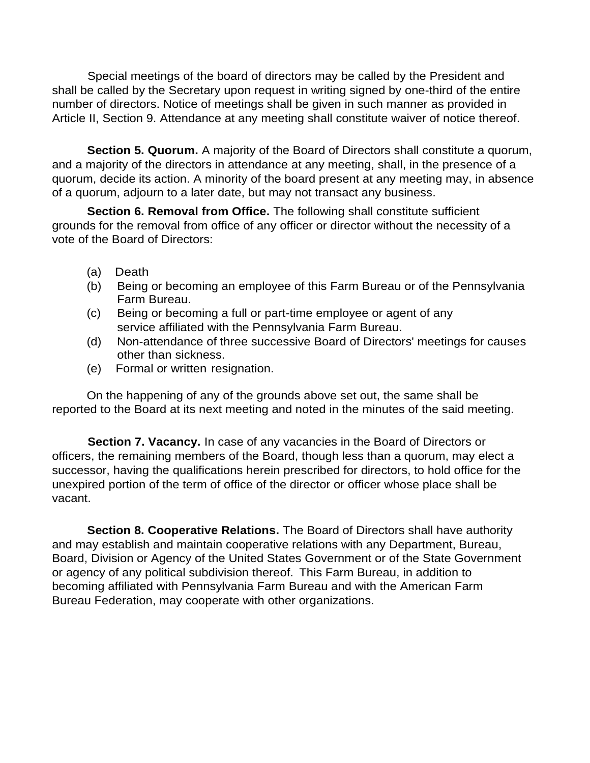Special meetings of the board of directors may be called by the President and shall be called by the Secretary upon request in writing signed by one-third of the entire number of directors. Notice of meetings shall be given in such manner as provided in Article II, Section 9. Attendance at any meeting shall constitute waiver of notice thereof.

**Section 5. Quorum.** A majority of the Board of Directors shall constitute a quorum, and a majority of the directors in attendance at any meeting, shall, in the presence of a quorum, decide its action. A minority of the board present at any meeting may, in absence of a quorum, adjourn to a later date, but may not transact any business.

**Section 6. Removal from Office.** The following shall constitute sufficient grounds for the removal from office of any officer or director without the necessity of a vote of the Board of Directors:

- (a) Death
- (b) Being or becoming an employee of this Farm Bureau or of the Pennsylvania Farm Bureau.
- (c) Being or becoming a full or part-time employee or agent of any service affiliated with the Pennsylvania Farm Bureau.
- (d) Non-attendance of three successive Board of Directors' meetings for causes other than sickness.
- (e) Formal or written resignation.

On the happening of any of the grounds above set out, the same shall be reported to the Board at its next meeting and noted in the minutes of the said meeting.

**Section 7. Vacancy.** In case of any vacancies in the Board of Directors or officers, the remaining members of the Board, though less than a quorum, may elect a successor, having the qualifications herein prescribed for directors, to hold office for the unexpired portion of the term of office of the director or officer whose place shall be vacant.

**Section 8. Cooperative Relations.** The Board of Directors shall have authority and may establish and maintain cooperative relations with any Department, Bureau, Board, Division or Agency of the United States Government or of the State Government or agency of any political subdivision thereof. This Farm Bureau, in addition to becoming affiliated with Pennsylvania Farm Bureau and with the American Farm Bureau Federation, may cooperate with other organizations.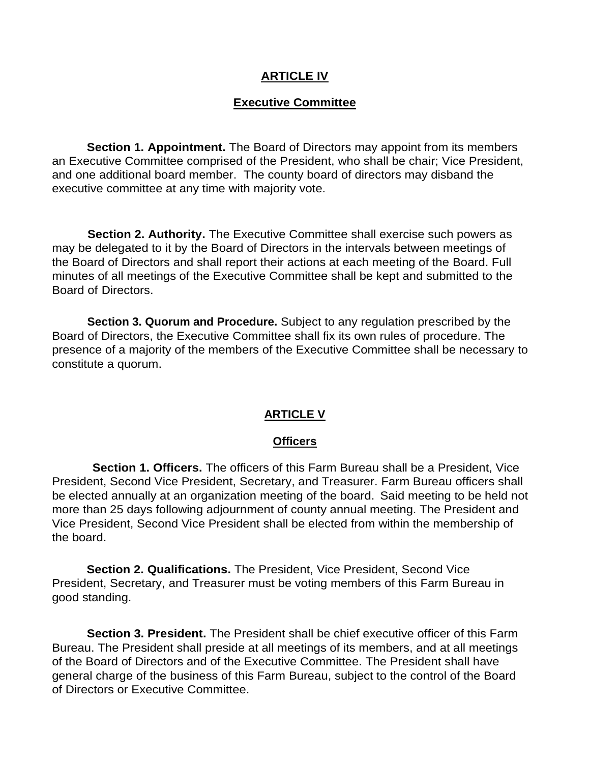#### **ARTICLE IV**

#### **Executive Committee**

**Section 1. Appointment.** The Board of Directors may appoint from its members an Executive Committee comprised of the President, who shall be chair; Vice President, and one additional board member. The county board of directors may disband the executive committee at any time with majority vote.

**Section 2. Authority.** The Executive Committee shall exercise such powers as may be delegated to it by the Board of Directors in the intervals between meetings of the Board of Directors and shall report their actions at each meeting of the Board. Full minutes of all meetings of the Executive Committee shall be kept and submitted to the Board of Directors.

**Section 3. Quorum and Procedure.** Subject to any regulation prescribed by the Board of Directors, the Executive Committee shall fix its own rules of procedure. The presence of a majority of the members of the Executive Committee shall be necessary to constitute a quorum.

#### **ARTICLE V**

#### **Officers**

**Section 1. Officers.** The officers of this Farm Bureau shall be a President, Vice President, Second Vice President, Secretary, and Treasurer. Farm Bureau officers shall be elected annually at an organization meeting of the board. Said meeting to be held not more than 25 days following adjournment of county annual meeting. The President and Vice President, Second Vice President shall be elected from within the membership of the board.

**Section 2. Qualifications.** The President, Vice President, Second Vice President, Secretary, and Treasurer must be voting members of this Farm Bureau in good standing.

**Section 3. President.** The President shall be chief executive officer of this Farm Bureau. The President shall preside at all meetings of its members, and at all meetings of the Board of Directors and of the Executive Committee. The President shall have general charge of the business of this Farm Bureau, subject to the control of the Board of Directors or Executive Committee.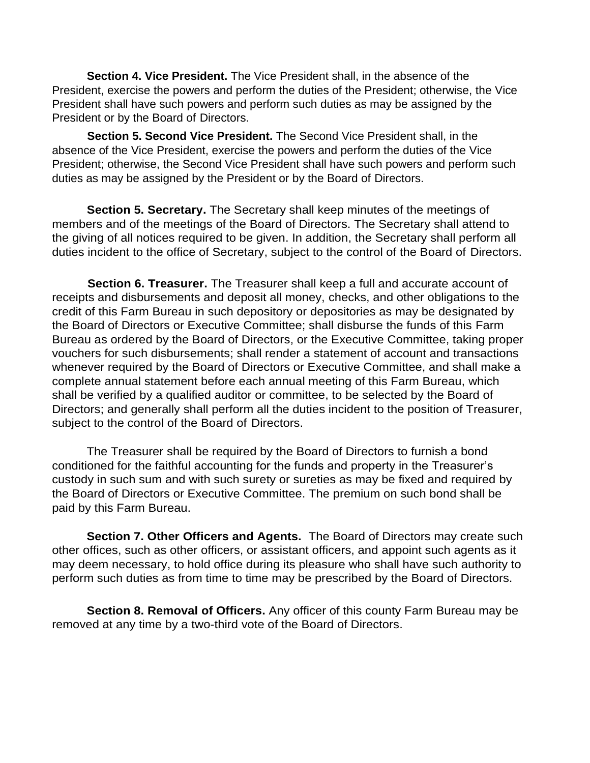**Section 4. Vice President.** The Vice President shall, in the absence of the President, exercise the powers and perform the duties of the President; otherwise, the Vice President shall have such powers and perform such duties as may be assigned by the President or by the Board of Directors.

**Section 5. Second Vice President.** The Second Vice President shall, in the absence of the Vice President, exercise the powers and perform the duties of the Vice President; otherwise, the Second Vice President shall have such powers and perform such duties as may be assigned by the President or by the Board of Directors.

**Section 5. Secretary.** The Secretary shall keep minutes of the meetings of members and of the meetings of the Board of Directors. The Secretary shall attend to the giving of all notices required to be given. In addition, the Secretary shall perform all duties incident to the office of Secretary, subject to the control of the Board of Directors.

**Section 6. Treasurer.** The Treasurer shall keep a full and accurate account of receipts and disbursements and deposit all money, checks, and other obligations to the credit of this Farm Bureau in such depository or depositories as may be designated by the Board of Directors or Executive Committee; shall disburse the funds of this Farm Bureau as ordered by the Board of Directors, or the Executive Committee, taking proper vouchers for such disbursements; shall render a statement of account and transactions whenever required by the Board of Directors or Executive Committee, and shall make a complete annual statement before each annual meeting of this Farm Bureau, which shall be verified by a qualified auditor or committee, to be selected by the Board of Directors; and generally shall perform all the duties incident to the position of Treasurer, subject to the control of the Board of Directors.

The Treasurer shall be required by the Board of Directors to furnish a bond conditioned for the faithful accounting for the funds and property in the Treasurer's custody in such sum and with such surety or sureties as may be fixed and required by the Board of Directors or Executive Committee. The premium on such bond shall be paid by this Farm Bureau.

**Section 7. Other Officers and Agents.** The Board of Directors may create such other offices, such as other officers, or assistant officers, and appoint such agents as it may deem necessary, to hold office during its pleasure who shall have such authority to perform such duties as from time to time may be prescribed by the Board of Directors.

**Section 8. Removal of Officers.** Any officer of this county Farm Bureau may be removed at any time by a two-third vote of the Board of Directors.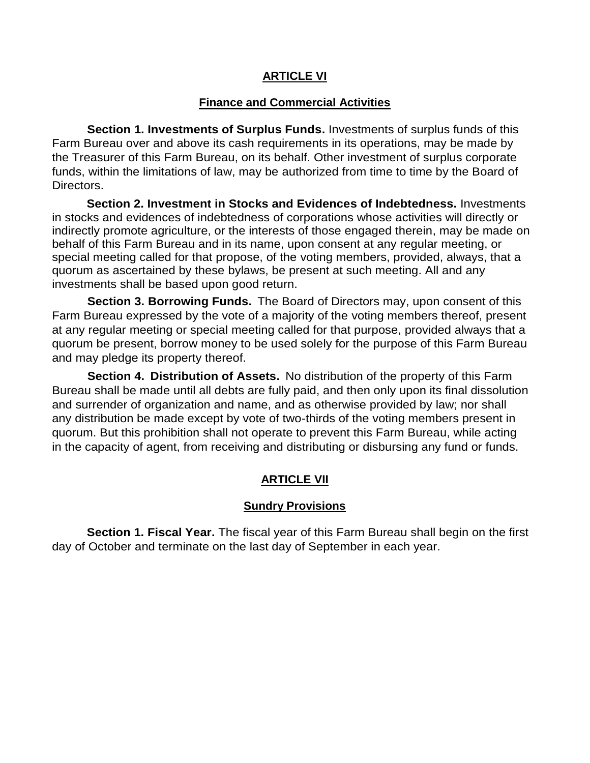#### **ARTICLE VI**

#### **Finance and Commercial Activities**

**Section 1. Investments of Surplus Funds.** Investments of surplus funds of this Farm Bureau over and above its cash requirements in its operations, may be made by the Treasurer of this Farm Bureau, on its behalf. Other investment of surplus corporate funds, within the limitations of law, may be authorized from time to time by the Board of Directors.

**Section 2. Investment in Stocks and Evidences of Indebtedness.** Investments in stocks and evidences of indebtedness of corporations whose activities will directly or indirectly promote agriculture, or the interests of those engaged therein, may be made on behalf of this Farm Bureau and in its name, upon consent at any regular meeting, or special meeting called for that propose, of the voting members, provided, always, that a quorum as ascertained by these bylaws, be present at such meeting. All and any investments shall be based upon good return.

**Section 3. Borrowing Funds.** The Board of Directors may, upon consent of this Farm Bureau expressed by the vote of a majority of the voting members thereof, present at any regular meeting or special meeting called for that purpose, provided always that a quorum be present, borrow money to be used solely for the purpose of this Farm Bureau and may pledge its property thereof.

**Section 4. Distribution of Assets.** No distribution of the property of this Farm Bureau shall be made until all debts are fully paid, and then only upon its final dissolution and surrender of organization and name, and as otherwise provided by law; nor shall any distribution be made except by vote of two-thirds of the voting members present in quorum. But this prohibition shall not operate to prevent this Farm Bureau, while acting in the capacity of agent, from receiving and distributing or disbursing any fund or funds.

## **ARTICLE VII**

#### **Sundry Provisions**

**Section 1. Fiscal Year.** The fiscal year of this Farm Bureau shall begin on the first day of October and terminate on the last day of September in each year.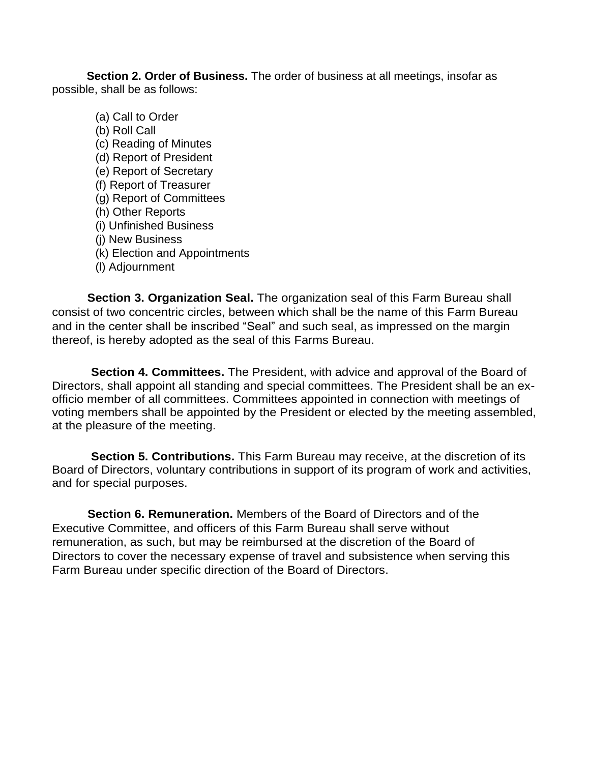**Section 2. Order of Business.** The order of business at all meetings, insofar as possible, shall be as follows:

(a) Call to Order (b) Roll Call (c) Reading of Minutes (d) Report of President (e) Report of Secretary (f) Report of Treasurer (g) Report of Committees (h) Other Reports (i) Unfinished Business (j) New Business (k) Election and Appointments (l) Adjournment

**Section 3. Organization Seal.** The organization seal of this Farm Bureau shall consist of two concentric circles, between which shall be the name of this Farm Bureau and in the center shall be inscribed "Seal" and such seal, as impressed on the margin thereof, is hereby adopted as the seal of this Farms Bureau.

**Section 4. Committees.** The President, with advice and approval of the Board of Directors, shall appoint all standing and special committees. The President shall be an exofficio member of all committees. Committees appointed in connection with meetings of voting members shall be appointed by the President or elected by the meeting assembled, at the pleasure of the meeting.

**Section 5. Contributions.** This Farm Bureau may receive, at the discretion of its Board of Directors, voluntary contributions in support of its program of work and activities, and for special purposes.

**Section 6. Remuneration.** Members of the Board of Directors and of the Executive Committee, and officers of this Farm Bureau shall serve without remuneration, as such, but may be reimbursed at the discretion of the Board of Directors to cover the necessary expense of travel and subsistence when serving this Farm Bureau under specific direction of the Board of Directors.